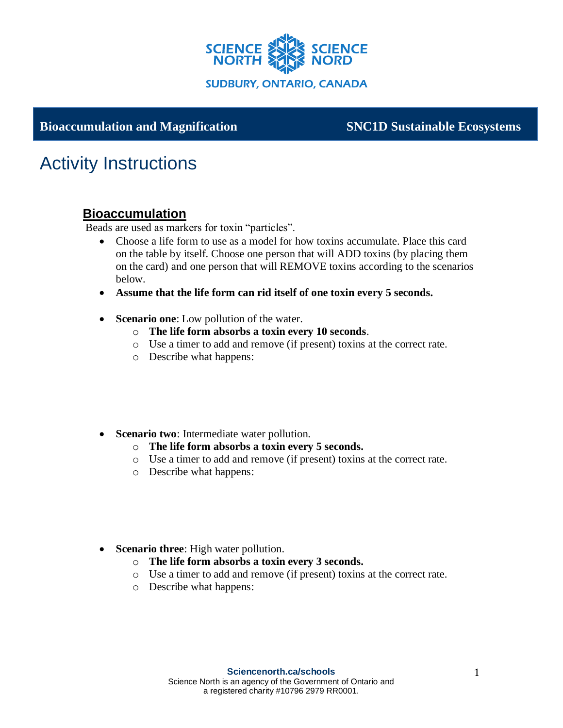

**Grade – Strand sujet**

### **Bioaccumulation and Magnification SNC1D Sustainable Ecosystems**

# Activity Instructions

#### **Bioaccumulation**

Beads are used as markers for toxin "particles".

- Choose a life form to use as a model for how toxins accumulate. Place this card on the table by itself. Choose one person that will ADD toxins (by placing them on the card) and one person that will REMOVE toxins according to the scenarios below.
- **Assume that the life form can rid itself of one toxin every 5 seconds.**
- **Scenario one**: Low pollution of the water.
	- o **The life form absorbs a toxin every 10 seconds**.
	- o Use a timer to add and remove (if present) toxins at the correct rate.
	- o Describe what happens:
- **Scenario two**: Intermediate water pollution.
	- o **The life form absorbs a toxin every 5 seconds.**
	- o Use a timer to add and remove (if present) toxins at the correct rate.
	- o Describe what happens:
- **Scenario three**: High water pollution.
	- o **The life form absorbs a toxin every 3 seconds.**
	- o Use a timer to add and remove (if present) toxins at the correct rate.
	- o Describe what happens: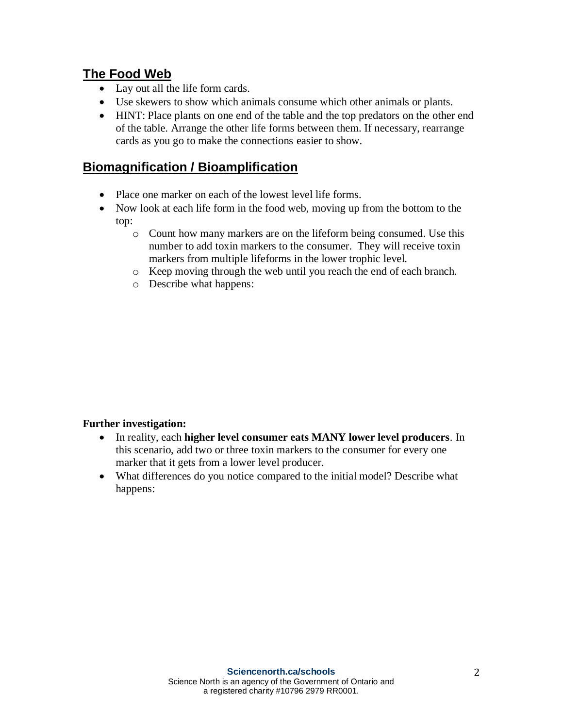#### **The Food Web**

- Lay out all the life form cards.
- Use skewers to show which animals consume which other animals or plants.
- HINT: Place plants on one end of the table and the top predators on the other end of the table. Arrange the other life forms between them. If necessary, rearrange cards as you go to make the connections easier to show.

## **Biomagnification / Bioamplification**

- Place one marker on each of the lowest level life forms.
- Now look at each life form in the food web, moving up from the bottom to the top:
	- o Count how many markers are on the lifeform being consumed. Use this number to add toxin markers to the consumer. They will receive toxin markers from multiple lifeforms in the lower trophic level.
	- o Keep moving through the web until you reach the end of each branch.
	- o Describe what happens:

#### **Further investigation:**

- In reality, each **higher level consumer eats MANY lower level producers**. In this scenario, add two or three toxin markers to the consumer for every one marker that it gets from a lower level producer.
- What differences do you notice compared to the initial model? Describe what happens: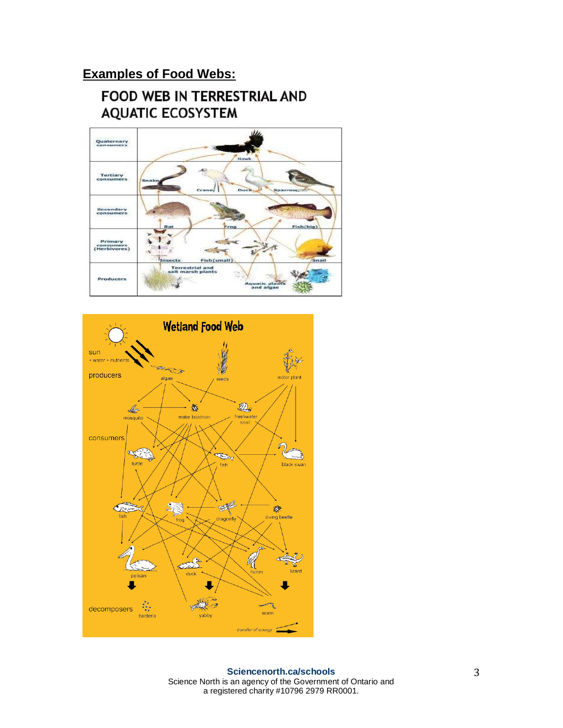# **Examples of Food Webs:**

# **FOOD WEB IN TERRESTRIAL AND AQUATIC ECOSYSTEM**



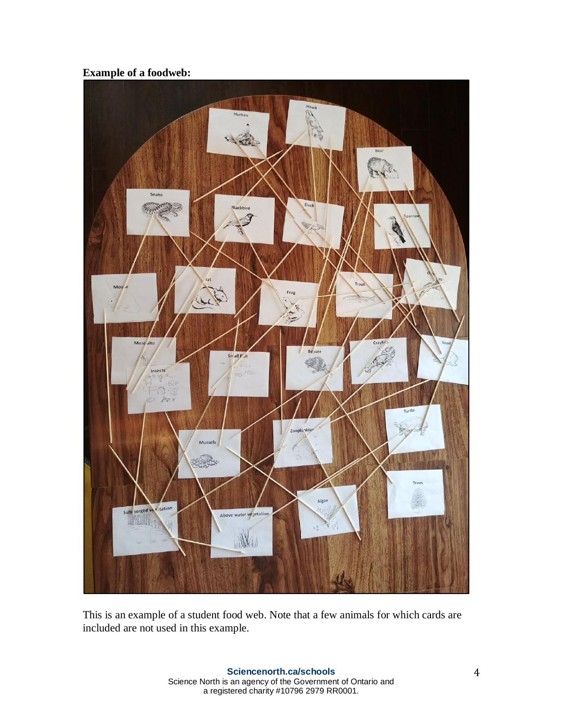#### **Example of a foodweb:**



This is an example of a student food web. Note that a few animals for which cards are included are not used in this example.